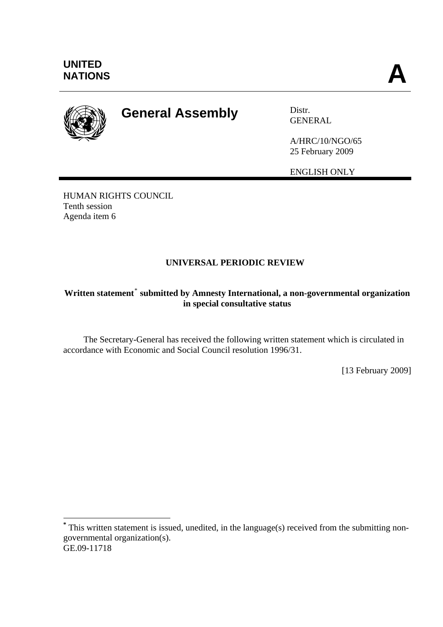

1

# **General Assembly** Distr.

GENERAL

A/HRC/10/NGO/65 25 February 2009

ENGLISH ONLY

HUMAN RIGHTS COUNCIL Tenth session Agenda item 6

## **UNIVERSAL PERIODIC REVIEW**

## Written statement<sup>[\\*](#page-0-0)</sup> submitted by Amnesty International, a non-governmental organization **in special consultative status**

 The Secretary-General has received the following written statement which is circulated in accordance with Economic and Social Council resolution 1996/31.

[13 February 2009]

<span id="page-0-0"></span>GE.09-11718 **\*** This written statement is issued, unedited, in the language(s) received from the submitting nongovernmental organization(s).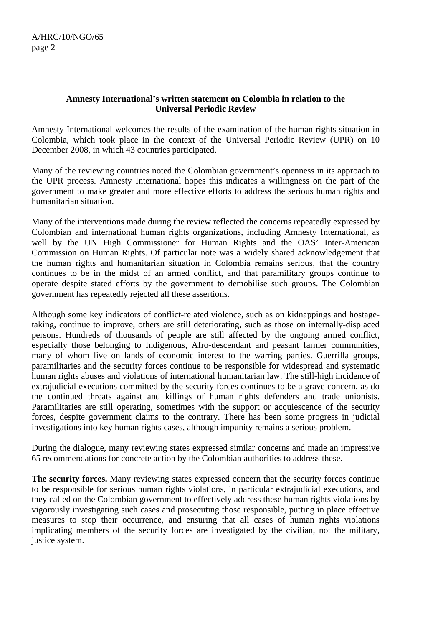### **Amnesty International's written statement on Colombia in relation to the Universal Periodic Review**

Amnesty International welcomes the results of the examination of the human rights situation in Colombia, which took place in the context of the Universal Periodic Review (UPR) on 10 December 2008, in which 43 countries participated.

Many of the reviewing countries noted the Colombian government's openness in its approach to the UPR process. Amnesty International hopes this indicates a willingness on the part of the government to make greater and more effective efforts to address the serious human rights and humanitarian situation.

Many of the interventions made during the review reflected the concerns repeatedly expressed by Colombian and international human rights organizations, including Amnesty International, as well by the UN High Commissioner for Human Rights and the OAS' Inter-American Commission on Human Rights. Of particular note was a widely shared acknowledgement that the human rights and humanitarian situation in Colombia remains serious, that the country continues to be in the midst of an armed conflict, and that paramilitary groups continue to operate despite stated efforts by the government to demobilise such groups. The Colombian government has repeatedly rejected all these assertions.

Although some key indicators of conflict-related violence, such as on kidnappings and hostagetaking, continue to improve, others are still deteriorating, such as those on internally-displaced persons. Hundreds of thousands of people are still affected by the ongoing armed conflict, especially those belonging to Indigenous, Afro-descendant and peasant farmer communities, many of whom live on lands of economic interest to the warring parties. Guerrilla groups, paramilitaries and the security forces continue to be responsible for widespread and systematic human rights abuses and violations of international humanitarian law. The still-high incidence of extrajudicial executions committed by the security forces continues to be a grave concern, as do the continued threats against and killings of human rights defenders and trade unionists. Paramilitaries are still operating, sometimes with the support or acquiescence of the security forces, despite government claims to the contrary. There has been some progress in judicial investigations into key human rights cases, although impunity remains a serious problem.

During the dialogue, many reviewing states expressed similar concerns and made an impressive 65 recommendations for concrete action by the Colombian authorities to address these.

**The security forces.** Many reviewing states expressed concern that the security forces continue to be responsible for serious human rights violations, in particular extrajudicial executions, and they called on the Colombian government to effectively address these human rights violations by vigorously investigating such cases and prosecuting those responsible, putting in place effective measures to stop their occurrence, and ensuring that all cases of human rights violations implicating members of the security forces are investigated by the civilian, not the military, justice system.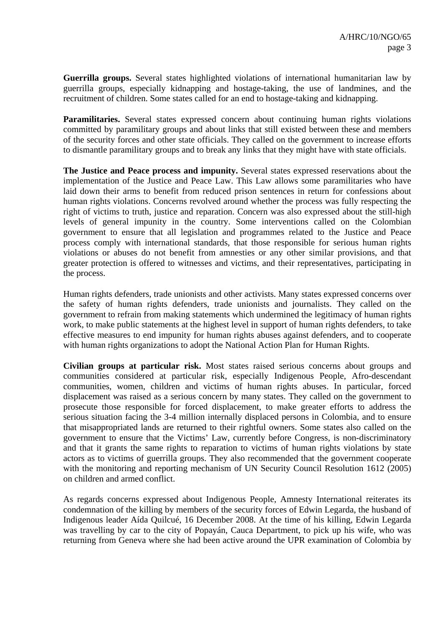**Guerrilla groups.** Several states highlighted violations of international humanitarian law by guerrilla groups, especially kidnapping and hostage-taking, the use of landmines, and the recruitment of children. Some states called for an end to hostage-taking and kidnapping.

**Paramilitaries.** Several states expressed concern about continuing human rights violations committed by paramilitary groups and about links that still existed between these and members of the security forces and other state officials. They called on the government to increase efforts to dismantle paramilitary groups and to break any links that they might have with state officials.

**The Justice and Peace process and impunity.** Several states expressed reservations about the implementation of the Justice and Peace Law. This Law allows some paramilitaries who have laid down their arms to benefit from reduced prison sentences in return for confessions about human rights violations. Concerns revolved around whether the process was fully respecting the right of victims to truth, justice and reparation. Concern was also expressed about the still-high levels of general impunity in the country. Some interventions called on the Colombian government to ensure that all legislation and programmes related to the Justice and Peace process comply with international standards, that those responsible for serious human rights violations or abuses do not benefit from amnesties or any other similar provisions, and that greater protection is offered to witnesses and victims, and their representatives, participating in the process.

Human rights defenders, trade unionists and other activists. Many states expressed concerns over the safety of human rights defenders, trade unionists and journalists. They called on the government to refrain from making statements which undermined the legitimacy of human rights work, to make public statements at the highest level in support of human rights defenders, to take effective measures to end impunity for human rights abuses against defenders, and to cooperate with human rights organizations to adopt the National Action Plan for Human Rights.

**Civilian groups at particular risk.** Most states raised serious concerns about groups and communities considered at particular risk, especially Indigenous People, Afro-descendant communities, women, children and victims of human rights abuses. In particular, forced displacement was raised as a serious concern by many states. They called on the government to prosecute those responsible for forced displacement, to make greater efforts to address the serious situation facing the 3-4 million internally displaced persons in Colombia, and to ensure that misappropriated lands are returned to their rightful owners. Some states also called on the government to ensure that the Victims' Law, currently before Congress, is non-discriminatory and that it grants the same rights to reparation to victims of human rights violations by state actors as to victims of guerrilla groups. They also recommended that the government cooperate with the monitoring and reporting mechanism of UN Security Council Resolution 1612 (2005) on children and armed conflict.

As regards concerns expressed about Indigenous People, Amnesty International reiterates its condemnation of the killing by members of the security forces of Edwin Legarda, the husband of Indigenous leader Aída Quilcué, 16 December 2008. At the time of his killing, Edwin Legarda was travelling by car to the city of Popayán, Cauca Department, to pick up his wife, who was returning from Geneva where she had been active around the UPR examination of Colombia by